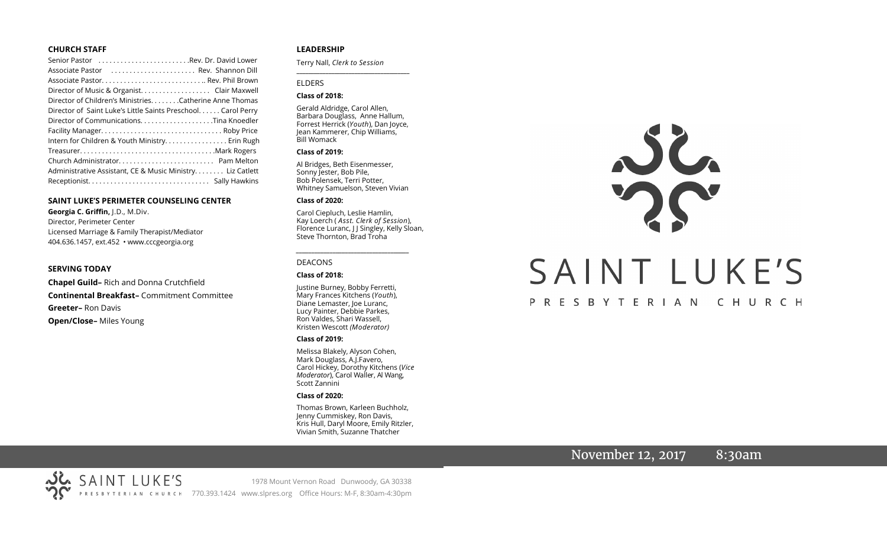# **CHURCH STAFF**

| Senior Pastor Rev. Dr. David Lower                           |
|--------------------------------------------------------------|
| Associate Pastor (etc Rev. Shannon Dill                      |
|                                                              |
| Director of Music & Organist. Clair Maxwell                  |
| Director of Children's Ministries. Catherine Anne Thomas     |
| Director of Saint Luke's Little Saints Preschool Carol Perry |
|                                                              |
|                                                              |
| Intern for Children & Youth Ministry. Erin Rugh              |
|                                                              |
|                                                              |
| Administrative Assistant, CE & Music Ministry Liz Catlett    |
|                                                              |

# **SAINT LUKE'S PERIMETER COUNSELING CENTER**

**Georgia C. Griffin,** J.D., M.Div. Director, Perimeter Center Licensed Marriage & Family Therapist/Mediator 404.636.1457, ext.452 • www.cccgeorgia.org

## **SERVING TODAY**

**Chapel Guild–** Rich and Donna Crutchfield **Continental Breakfast–** Commitment Committee **Greeter–** Ron Davis **Open/Close–** Miles Young

# **LEADERSHIP**

Terry Nall, *Clerk to Session* 

## ELDERS

## **Class of 2018:**

Gerald Aldridge, Carol Allen, Barbara Douglass, Anne Hallum, Forrest Herrick (*Youth*), Dan Joyce, Jean Kammerer, Chip Williams, Bill Womack

**\_\_\_\_\_\_\_\_\_\_\_\_\_\_\_\_\_\_\_\_\_\_\_\_\_\_\_\_\_\_\_\_\_\_\_\_\_\_\_**

#### **Class of 2019:**

Al Bridges, Beth Eisenmesser, Sonny Jester, Bob Pile, Bob Polensek, Terri Potter, Whitney Samuelson, Steven Vivian

#### **Class of 2020:**

Carol Ciepluch, Leslie Hamlin, Kay Loerch ( *Asst. Clerk of Session*), Florence Luranc, J J Singley, Kelly Sloan, Steve Thornton, Brad Troha

*\_\_\_\_\_\_\_\_\_\_\_\_\_\_\_\_\_\_\_\_\_\_\_\_\_\_\_\_\_\_\_\_\_\_\_\_\_*

#### DEACONS

#### **Class of 2018:**

Justine Burney, Bobby Ferretti, Mary Frances Kitchens (*Youth*), Diane Lemaster, Joe Luranc, Lucy Painter, Debbie Parkes, Ron Valdes, Shari Wassell, Kristen Wescott *(Moderator)*

#### **Class of 2019:**

Melissa Blakely, Alyson Cohen, Mark Douglass, A.J.Favero, Carol Hickey, Dorothy Kitchens (*Vice Moderator*), Carol Waller, Al Wang, Scott Zannini

## **Class of 2020:**

Thomas Brown, Karleen Buchholz, Jenny Cummiskey, Ron Davis, Kris Hull, Daryl Moore, Emily Ritzler, Vivian Smith, Suzanne Thatcher

# JC. SAINT LUKE'S PRESBYTERIAN CHURCH

# November 12, 2017 8:30am

SAINT LUKE'S 1978 Mount Vernon Road Dunwoody, GA 30338 PRESBYTERIAN CHURCH 770.393.1424 www.slpres.org Office Hours: M-F, 8:30am-4:30pm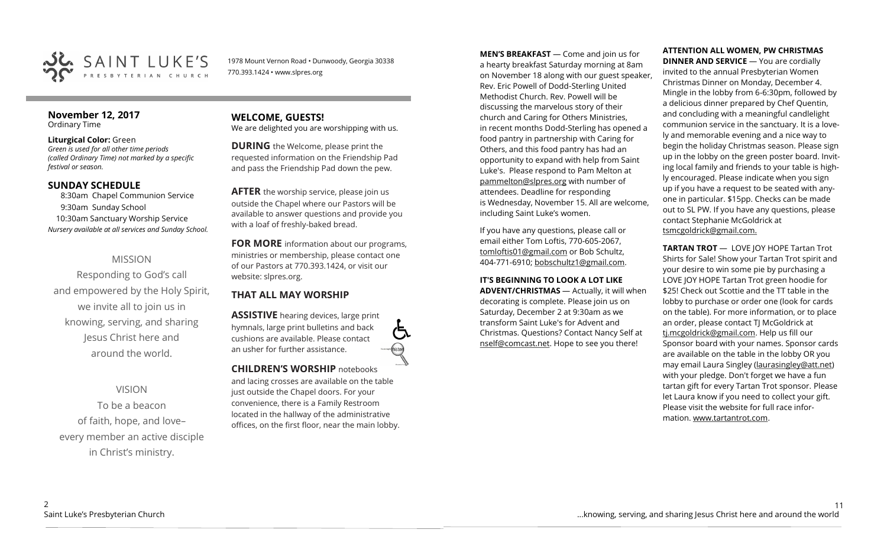

1978 Mount Vernon Road • Dunwoody, Georgia 30338 770.393.1424 • www.slpres.org

# **November 12, 2017**  Ordinary Time

# **Liturgical Color:** Green

*Green is used for all other time periods (called Ordinary Time) not marked by a specific festival or season.* 

# **SUNDAY SCHEDULE**

8:30am Chapel Communion Service 9:30am Sunday School 10:30am Sanctuary Worship Service *Nursery available at all services and Sunday School.*

# MISSION

Responding to God's call and empowered by the Holy Spirit, we invite all to join us in knowing, serving, and sharing Jesus Christ here and around the world.

VISION To be a beacon of faith, hope, and love– every member an active disciple in Christ's ministry.

# **WELCOME, GUESTS!**  We are delighted you are worshipping with us.

**DURING** the Welcome, please print the requested information on the Friendship Pad and pass the Friendship Pad down the pew.

**AFTER** the worship service, please join us outside the Chapel where our Pastors will be available to answer questions and provide you with a loaf of freshly-baked bread.

**FOR MORE** information about our programs, ministries or membership, please contact one of our Pastors at 770.393.1424, or visit our website: slpres.org.

# **THAT ALL MAY WORSHIP**

**ASSISTIVE** hearing devices, large print hymnals, large print bulletins and back cushions are available. Please contact an usher for further assistance.

**CHILDREN'S WORSHIP** notebooks and lacing crosses are available on the table just outside the Chapel doors. For your convenience, there is a Family Restroom located in the hallway of the administrative offices, on the first floor, near the main lobby. **MEN'S BREAKFAST** — Come and join us for a hearty breakfast Saturday morning at 8am on November 18 along with our guest speaker, Rev. Eric Powell of Dodd-Sterling United Methodist Church. Rev. Powell will be discussing the marvelous story of their church and Caring for Others Ministries, in recent months Dodd-Sterling has opened a food pantry in partnership with Caring for Others, and this food pantry has had an opportunity to expand with help from Saint Luke's. Please respond to Pam Melton at [pammelton@slpres.org](mailto:pammelton@slpres.org) with number of attendees. Deadline for responding is Wednesday, November 15. All are welcome, including Saint Luke's women.

If you have any questions, please call or email either Tom Loftis, 770-605-2067, [tomloftis01@gmail.com](mailto:tomloftis01@gmail.com) or Bob Schultz, 404-771-6910; [bobschultz1@gmail.com.](mailto:bobschultz1@gmail.com)

# **IT'S BEGINNING TO LOOK A LOT LIKE**

**ADVENT/CHRISTMAS** — Actually, it will when decorating is complete. Please join us on Saturday, December 2 at 9:30am as we transform Saint Luke's for Advent and Christmas. Questions? Contact Nancy Self at [nself@comcast.net.](mailto:nself@comcast.net) Hope to see you there!

# **ATTENTION ALL WOMEN, PW CHRISTMAS**

**DINNER AND SERVICE** — You are cordially invited to the annual Presbyterian Women Christmas Dinner on Monday, December 4. Mingle in the lobby from 6-6:30pm, followed by a delicious dinner prepared by Chef Quentin, and concluding with a meaningful candlelight communion service in the sanctuary. It is a lovely and memorable evening and a nice way to begin the holiday Christmas season. Please sign up in the lobby on the green poster board. Inviting local family and friends to your table is highly encouraged. Please indicate when you sign up if you have a request to be seated with anyone in particular. \$15pp. Checks can be made out to SL PW. If you have any questions, please contact Stephanie McGoldrick at tsmcgoldrick@gmail.com.

**TARTAN TROT** — LOVE JOY HOPE Tartan Trot Shirts for Sale! Show your Tartan Trot spirit and your desire to win some pie by purchasing a LOVE JOY HOPE Tartan Trot green hoodie for \$25! Check out Scottie and the TT table in the lobby to purchase or order one (look for cards on the table). For more information, or to place an order, please contact TJ McGoldrick at [tj.mcgoldrick@gmail.com.](mailto:tj.mcgoldrick@gmail.com) Help us fill our Sponsor board with your names. Sponsor cards are available on the table in the lobby OR you may email Laura Singley ([laurasingley@att.net\)](mailto:laurasingley@att.net) with your pledge. Don't forget we have a fun tartan gift for every Tartan Trot sponsor. Please let Laura know if you need to collect your gift. Please visit the website for full race information. [www.tartantrot.com.](http://www.tartantrot.com/)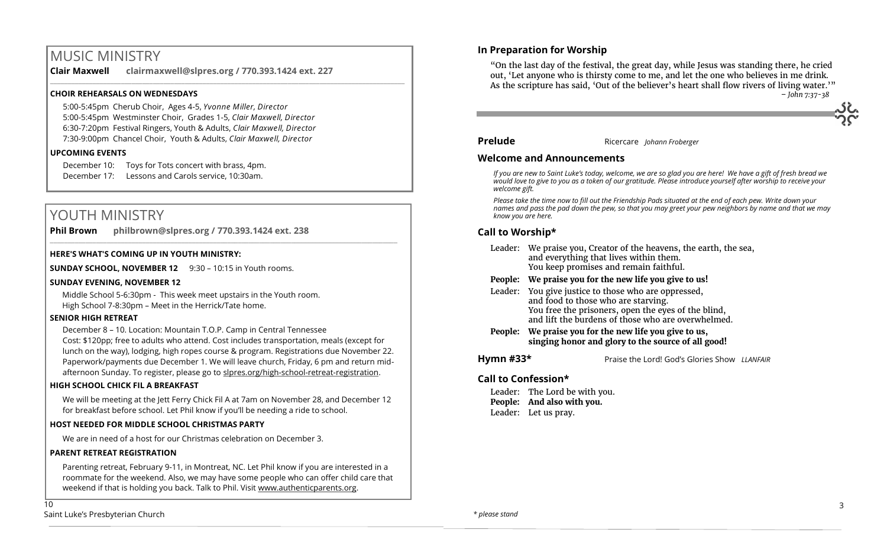# MUSIC MINISTRY

**Clair Maxwell clairmaxwell@slpres.org / 770.393.1424 ext. 227**  \_\_\_\_\_\_\_\_\_\_\_\_\_\_\_\_\_\_\_\_\_\_\_\_\_\_\_\_\_\_\_\_\_\_\_\_\_\_\_\_\_\_\_\_\_\_\_\_\_\_\_\_\_\_\_\_\_\_\_\_\_\_\_\_\_\_\_\_\_\_\_\_\_\_\_\_\_\_\_\_\_\_\_\_\_\_\_\_\_\_\_\_\_\_\_\_\_\_\_\_

# **CHOIR REHEARSALS ON WEDNESDAYS**

5:00-5:45pm Cherub Choir, Ages 4-5, *Yvonne Miller, Director*  5:00-5:45pm Westminster Choir, Grades 1-5, *Clair Maxwell, Director*  6:30-7:20pm Festival Ringers, Youth & Adults, *Clair Maxwell, Director*  7:30-9:00pm Chancel Choir, Youth & Adults, *Clair Maxwell, Director*

# **UPCOMING EVENTS**

December 10: Toys for Tots concert with brass, 4pm. December 17: Lessons and Carols service, 10:30am.

# YOUTH MINISTRY

**Phil Brown philbrown@slpres.org / 770.393.1424 ext. 238**   $\_$  , and the state of the state of the state of the state of the state of the state of the state of the state of the state of the state of the state of the state of the state of the state of the state of the state of the

# **HERE'S WHAT'S COMING UP IN YOUTH MINISTRY:**

**SUNDAY SCHOOL, NOVEMBER 12** 9:30 – 10:15 in Youth rooms.

# **SUNDAY EVENING, NOVEMBER 12**

 Middle School 5-6:30pm - This week meet upstairs in the Youth room. High School 7-8:30pm – Meet in the Herrick/Tate home.

# **SENIOR HIGH RETREAT**

December 8 – 10. Location: Mountain T.O.P. Camp in Central Tennessee Cost: \$120pp; free to adults who attend. Cost includes transportation, meals (except for lunch on the way), lodging, high ropes course & program. Registrations due November 22. Paperwork/payments due December 1. We will leave church, Friday, 6 pm and return midafternoon Sunday. To register, please go to slpres.org/high-school-retreat-registration.

# **HIGH SCHOOL CHICK FIL A BREAKFAST**

We will be meeting at the Jett Ferry Chick Fil A at 7am on November 28, and December 12 for breakfast before school. Let Phil know if you'll be needing a ride to school.

# **HOST NEEDED FOR MIDDLE SCHOOL CHRISTMAS PARTY**

We are in need of a host for our Christmas celebration on December 3.

# **PARENT RETREAT REGISTRATION**

Parenting retreat, February 9-11, in Montreat, NC. Let Phil know if you are interested in a roommate for the weekend. Also, we may have some people who can offer child care that weekend if that is holding you back. Talk to Phil. Visit [www.authenticparents.org.](http://www.authenticparents.org)

# **In Preparation for Worship**

"On the last day of the festival, the great day, while Jesus was standing there, he cried out, 'Let anyone who is thirsty come to me, and let the one who believes in me drink. As the scripture has said, 'Out of the believer's heart shall flow rivers of living water.'" *– John 7:37-38*

# **Prelude** Ricercare *Johann Froberger*

# **Welcome and Announcements**

*If you are new to Saint Luke's today, welcome, we are so glad you are here! We have a gift of fresh bread we would love to give to you as a token of our gratitude. Please introduce yourself after worship to receive your welcome gift.*

*Please take the time now to fill out the Friendship Pads situated at the end of each pew. Write down your names and pass the pad down the pew, so that you may greet your pew neighbors by name and that we may know you are here.*

# **Call to Worship\***

|           | Leader: We praise you, Creator of the heavens, the earth, the sea,<br>and everything that lives within them.<br>You keep promises and remain faithful.                                                   |
|-----------|----------------------------------------------------------------------------------------------------------------------------------------------------------------------------------------------------------|
|           | People: We praise you for the new life you give to us!                                                                                                                                                   |
|           | Leader: You give justice to those who are oppressed,<br>and food to those who are starving.<br>You free the prisoners, open the eyes of the blind,<br>and lift the burdens of those who are overwhelmed. |
| People:   | We praise you for the new life you give to us,<br>singing honor and glory to the source of all good!                                                                                                     |
| Hymn #33* | Praise the Lord! God's Glories Show LLANFAIR                                                                                                                                                             |
|           |                                                                                                                                                                                                          |

# **Call to Confession\***

Leader: The Lord be with you. **People: And also with you.** Leader: Let us pray.

 $\overline{10}$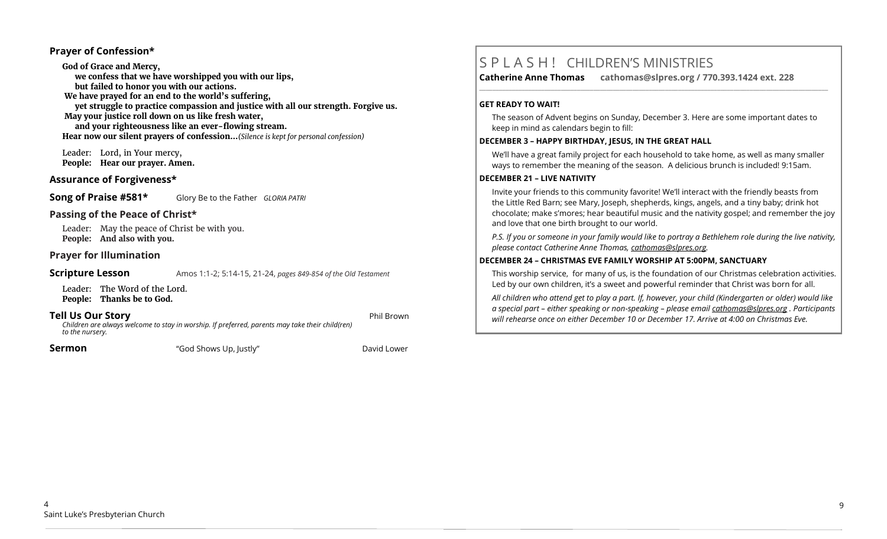# **Prayer of Confession\***

**God of Grace and Mercy, we confess that we have worshipped you with our lips, but failed to honor you with our actions. We have prayed for an end to the world's suffering, yet struggle to practice compassion and justice with all our strength. Forgive us. May your justice roll down on us like fresh water, and your righteousness like an ever-flowing stream. Hear now our silent prayers of confession…***(Silence is kept for personal confession)* 

 Leader: Lord, in Your mercy, **People: Hear our prayer. Amen.**

# **Assurance of Forgiveness\***

**Song of Praise #581\*** Glory Be to the Father *GLORIA PATRI* 

# **Passing of the Peace of Christ\***

Leader: May the peace of Christ be with you. **People: And also with you.**

# **Prayer for Illumination**

# **Scripture Lesson** Amos 1:1-2; 5:14-15, 21-24, *pages 849-854 of the Old Testament*

Leader: The Word of the Lord. **People: Thanks be to God.**

# **Tell Us Our Story** Phil Brown

*Children are always welcome to stay in worship. If preferred, parents may take their child(ren) to the nursery.*

**Sermon** The "God Shows Up, Justly" **Contained Base** David Lower

# S P L A S H ! CHILDREN'S MINISTRIES

**Catherine Anne Thomas cathomas@slpres.org / 770.393.1424 ext. 228 \_\_\_\_\_\_\_\_\_\_\_\_\_\_\_\_\_\_\_\_\_\_\_\_\_\_\_\_\_\_\_\_\_\_\_\_\_\_\_\_\_\_\_\_\_\_\_\_\_\_\_\_\_\_\_\_\_\_\_\_\_\_\_\_\_\_\_\_\_\_\_\_\_\_\_\_\_\_\_\_\_\_\_\_\_\_\_\_\_\_\_\_\_\_\_\_\_\_\_\_\_\_\_\_\_\_\_** 

# **GET READY TO WAIT!**

The season of Advent begins on Sunday, December 3. Here are some important dates to keep in mind as calendars begin to fill:

# **DECEMBER 3 – HAPPY BIRTHDAY, JESUS, IN THE GREAT HALL**

We'll have a great family project for each household to take home, as well as many smaller ways to remember the meaning of the season. A delicious brunch is included! 9:15am.

# **DECEMBER 21 – LIVE NATIVITY**

Invite your friends to this community favorite! We'll interact with the friendly beasts from the Little Red Barn; see Mary, Joseph, shepherds, kings, angels, and a tiny baby; drink hot chocolate; make s'mores; hear beautiful music and the nativity gospel; and remember the joy and love that one birth brought to our world.

*P.S. If you or someone in your family would like to portray a Bethlehem role during the live nativity, please contact Catherine Anne Thomas, [cathomas@slpres.org.](mailto:cathomas@slpres.org)* 

# **DECEMBER 24 – CHRISTMAS EVE FAMILY WORSHIP AT 5:00PM, SANCTUARY**

This worship service, for many of us, is the foundation of our Christmas celebration activities. Led by our own children, it's a sweet and powerful reminder that Christ was born for all.

*All children who attend get to play a part. If, however, your child (Kindergarten or older) would like a special part – either speaking or non-speaking – please email [cathomas@slpres.org](mailto:cathomas@slpres.org) . Participants will rehearse once on either December 10 or December 17. Arrive at 4:00 on Christmas Eve.*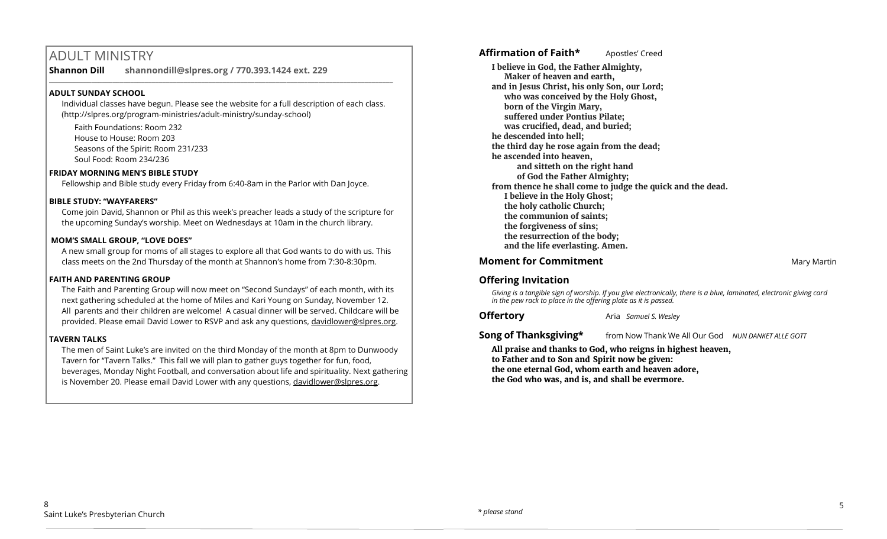# ADULT MINISTRY

**Shannon Dill shannondill@slpres.org / 770.393.1424 ext. 229** 

# **ADULT SUNDAY SCHOOL**

Individual classes have begun. Please see the website for a full description of each class. (http://slpres.org/program-ministries/adult-ministry/sunday-school)

 $\_$  ,  $\_$  ,  $\_$  ,  $\_$  ,  $\_$  ,  $\_$  ,  $\_$  ,  $\_$  ,  $\_$  ,  $\_$  ,  $\_$  ,  $\_$  ,  $\_$  ,  $\_$  ,  $\_$  ,  $\_$  ,  $\_$  ,  $\_$  ,  $\_$ 

Faith Foundations: Room 232 House to House: Room 203 Seasons of the Spirit: Room 231/233 Soul Food: Room 234/236

# **FRIDAY MORNING MEN'S BIBLE STUDY**

Fellowship and Bible study every Friday from 6:40-8am in the Parlor with Dan Joyce.

# **BIBLE STUDY: "WAYFARERS"**

Come join David, Shannon or Phil as this week's preacher leads a study of the scripture for the upcoming Sunday's worship. Meet on Wednesdays at 10am in the church library.

# **MOM'S SMALL GROUP, "LOVE DOES"**

A new small group for moms of all stages to explore all that God wants to do with us. This class meets on the 2nd Thursday of the month at Shannon's home from 7:30-8:30pm.

# **FAITH AND PARENTING GROUP**

The Faith and Parenting Group will now meet on "Second Sundays" of each month, with its next gathering scheduled at the home of Miles and Kari Young on Sunday, November 12. All parents and their children are welcome! A casual dinner will be served. Childcare will be provided. Please email David Lower to RSVP and ask any questions, [davidlower@slpres.org.](mailto:davidlower@slpres.org)

# **TAVERN TALKS**

The men of Saint Luke's are invited on the third Monday of the month at 8pm to Dunwoody Tavern for "Tavern Talks." This fall we will plan to gather guys together for fun, food, beverages, Monday Night Football, and conversation about life and spirituality. Next gathering is November 20. Please email David Lower with any questions, davidlower@slpres.org.

**Affirmation of Faith\*** Apostles' Creed

**I believe in God, the Father Almighty, Maker of heaven and earth, and in Jesus Christ, his only Son, our Lord; who was conceived by the Holy Ghost, born of the Virgin Mary, suffered under Pontius Pilate; was crucified, dead, and buried; he descended into hell; the third day he rose again from the dead; he ascended into heaven, and sitteth on the right hand of God the Father Almighty; from thence he shall come to judge the quick and the dead. I believe in the Holy Ghost; the holy catholic Church; the communion of saints; the forgiveness of sins; the resurrection of the body; and the life everlasting. Amen.**

# **Moment for Commitment** Martin Martin Martin Martin Martin Martin Martin Martin Martin Martin Martin Martin Martin Martin Martin Martin Martin Martin Martin Martin Martin Martin Martin Martin Martin Martin Martin Martin Ma

# **Offering Invitation**

*Giving is a tangible sign of worship. If you give electronically, there is a blue, laminated, electronic giving card in the pew rack to place in the offering plate as it is passed.*

**Offertory** Aria *Samuel S. Wesley* 

**Song of Thanksgiving\*** from Now Thank We All Our God *NUN DANKET ALLE GOTT* 

**All praise and thanks to God, who reigns in highest heaven, to Father and to Son and Spirit now be given: the one eternal God, whom earth and heaven adore, the God who was, and is, and shall be evermore.**